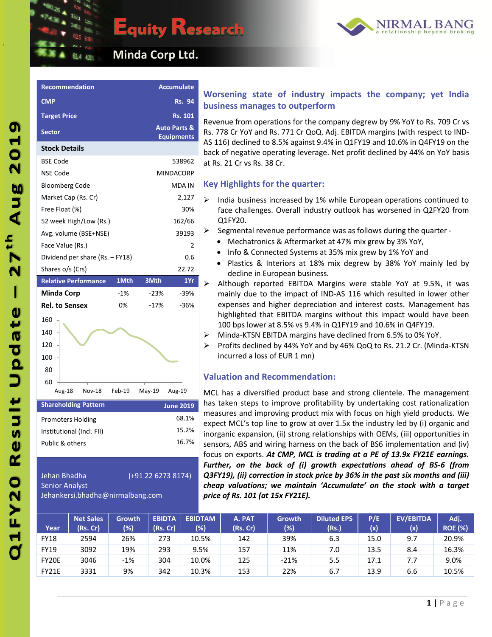

# **Equity Research**



 **Minda Corp Ltd.**

**Recommendation Accumulate**

| <b>CMP</b>                      |        |          | <b>Rs. 94</b>                                |
|---------------------------------|--------|----------|----------------------------------------------|
| <b>Target Price</b>             |        |          | <b>Rs. 101</b>                               |
| <b>Sector</b>                   |        |          | <b>Auto Parts &amp;</b><br><b>Equipments</b> |
| <b>Stock Details</b>            |        |          |                                              |
| <b>BSE Code</b>                 |        |          | 538962                                       |
| <b>NSE Code</b>                 |        |          | <b>MINDACORP</b>                             |
| <b>Bloomberg Code</b>           |        |          | <b>MDA IN</b>                                |
| Market Cap (Rs. Cr)             |        |          | 2,127                                        |
| Free Float (%)                  |        |          | 30%                                          |
| 52 week High/Low (Rs.)          |        |          | 162/66                                       |
| Avg. volume (BSE+NSE)           |        |          | 39193                                        |
| Face Value (Rs.)                |        |          | 2                                            |
| Dividend per share (Rs. - FY18) |        |          | 0.6                                          |
| Shares o/s (Crs)                |        |          | 22.72                                        |
| <b>Relative Performance</b>     | 1Mth   | 3Mth     | 1Yr                                          |
|                                 |        |          |                                              |
| <b>Minda Corp</b>               | $-1%$  | $-23%$   | $-39%$                                       |
| <b>Rel. to Sensex</b>           | 0%     | $-17%$   | $-36%$                                       |
| 160                             |        |          |                                              |
| 140                             |        |          |                                              |
| 120                             |        |          |                                              |
| 100                             |        |          |                                              |
| 80                              |        |          |                                              |
| 60                              |        |          |                                              |
| Aug-18<br><b>Nov-18</b>         | Feb-19 | $May-19$ | Aug-19                                       |
| <b>Shareholding Pattern</b>     |        |          | <b>June 2019</b>                             |
| <b>Promoters Holding</b>        |        |          | 68.1%                                        |
| Institutional (Incl. FII)       |        |          | 15.2%                                        |
| Public & others                 |        |          | 16.7%                                        |

# Jehan Bhadha (+91 22 6273 8174)

Jehankersi.bhadha@nirmalbang.com

Senior Analyst

## **Worsening state of industry impacts the company; yet India business manages to outperform**

Revenue from operations for the company degrew by 9% YoY to Rs. 709 Cr vs Rs. 778 Cr YoY and Rs. 771 Cr QoQ. Adj. EBITDA margins (with respect to IND-AS 116) declined to 8.5% against 9.4% in Q1FY19 and 10.6% in Q4FY19 on the back of negative operating leverage. Net profit declined by 44% on YoY basis at Rs. 21 Cr vs Rs. 38 Cr.

### **Key Highlights for the quarter:**

- India business increased by 1% while European operations continued to face challenges. Overall industry outlook has worsened in Q2FY20 from Q1FY20.
- $\triangleright$  Segmental revenue performance was as follows during the quarter -
	- Mechatronics & Aftermarket at 47% mix grew by 3% YoY,
	- Info & Connected Systems at 35% mix grew by 1% YoY and
	- Plastics & Interiors at 18% mix degrew by 38% YoY mainly led by decline in European business.
- $\triangleright$  Although reported EBITDA Margins were stable YoY at 9.5%, it was mainly due to the impact of IND-AS 116 which resulted in lower other expenses and higher depreciation and interest costs. Management has highlighted that EBITDA margins without this impact would have been 100 bps lower at 8.5% vs 9.4% in Q1FY19 and 10.6% in Q4FY19.
- Minda-KTSN EBITDA margins have declined from 6.5% to 0% YoY.
- Profits declined by 44% YoY and by 46% QoQ to Rs. 21.2 Cr. (Minda-KTSN incurred a loss of EUR 1 mn)

### **Valuation and Recommendation:**

MCL has a diversified product base and strong clientele. The management has taken steps to improve profitability by undertaking cost rationalization measures and improving product mix with focus on high yield products. We expect MCL's top line to grow at over 1.5x the industry led by (i) organic and inorganic expansion, (ii) strong relationships with OEMs, (iii) opportunities in sensors, ABS and wiring harness on the back of BS6 implementation and (iv) focus on exports. *At CMP, MCL is trading at a PE of 13.9x FY21E earnings. Further, on the back of (i) growth expectations ahead of BS-6 (from Q3FY19), (ii) correction in stock price by 36% in the past six months and (iii) cheap valuations; we maintain 'Accumulate' on the stock with a target price of Rs. 101 (at 15x FY21E).*

| Year         | <b>Net Sales</b><br>(Rs. Cr) | <b>Growth</b><br>(%) | <b>EBIDTA</b><br>(Rs. Cr) | <b>EBIDTAM</b><br>$(\%)$ | A. PAT<br>(Rs. Cr) | Growth<br>(%) | <b>Diluted EPS</b><br>(Rs.) | P/E<br>(x) | <b>EV/EBITDA</b><br>(x) | Adj.<br><b>ROE (%)</b> |
|--------------|------------------------------|----------------------|---------------------------|--------------------------|--------------------|---------------|-----------------------------|------------|-------------------------|------------------------|
| <b>FY18</b>  | 2594                         | 26%                  | 273                       | 10.5%                    | 142                | 39%           | 6.3                         | 15.0       | 9.7                     | 20.9%                  |
| <b>FY19</b>  | 3092                         | 19%                  | 293                       | 9.5%                     | 157                | 11%           | 7.0                         | 13.5       | 8.4                     | 16.3%                  |
| FY20E        | 3046                         | $-1%$                | 304                       | 10.0%                    | 125                | $-21%$        | 5.5                         | 17.1       | 7.7                     | 9.0%                   |
| <b>FY21E</b> | 3331                         | 9%                   | 342                       | 10.3%                    | 153                | 22%           | 6.7                         | 13.9       | 6.6                     | 10.5%                  |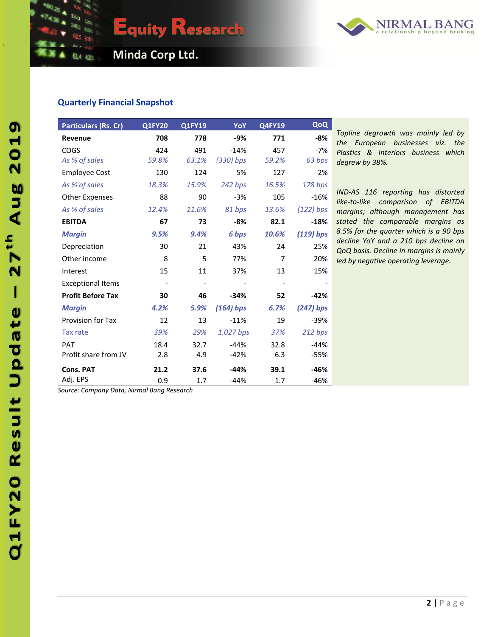

 **Minda Corp Ltd.**

**Equity Research** 

#### **Quarterly Financial Snapshot**

| <b>Particulars (Rs. Cr)</b> | <b>Q1FY20</b>            | Q1FY19 | YoY         | <b>Q4FY19</b> | QoQ         |
|-----------------------------|--------------------------|--------|-------------|---------------|-------------|
| Revenue                     | 708                      | 778    | $-9%$       | 771           | $-8%$       |
| COGS                        | 424                      | 491    | $-14%$      | 457           | $-7%$       |
| As % of sales               | 59.8%                    | 63.1%  | $(330)$ bps | 59.2%         | 63 bps      |
| <b>Employee Cost</b>        | 130                      | 124    | 5%          | 127           | 2%          |
| As % of sales               | 18.3%                    | 15.9%  | 242 bps     | 16.5%         | 178 bps     |
| <b>Other Expenses</b>       | 88                       | 90     | $-3%$       | 105           | $-16%$      |
| As % of sales               | 12.4%                    | 11.6%  | 81 bps      | 13.6%         | $(122)$ bps |
| <b>EBITDA</b>               | 67                       | 73     | -8%         | 82.1          | $-18%$      |
| <b>Margin</b>               | 9.5%                     | 9.4%   | 6 bps       | 10.6%         | $(119)$ bps |
| Depreciation                | 30                       | 21     | 43%         | 24            | 25%         |
| Other income                | 8                        | 5      | 77%         | 7             | 20%         |
| Interest                    | 15                       | 11     | 37%         | 13            | 15%         |
| <b>Exceptional Items</b>    | $\overline{\phantom{a}}$ |        |             |               |             |
| <b>Profit Before Tax</b>    | 30                       | 46     | $-34%$      | 52            | $-42%$      |
| <b>Margin</b>               | 4.2%                     | 5.9%   | $(164)$ bps | 6.7%          | $(247)$ bps |
| <b>Provision for Tax</b>    | 12                       | 13     | $-11%$      | 19            | $-39%$      |
| Tax rate                    | 39%                      | 29%    | 1,027 bps   | 37%           | 212 bps     |
| PAT                         | 18.4                     | 32.7   | $-44%$      | 32.8          | $-44%$      |
| Profit share from JV        | 2.8                      | 4.9    | $-42%$      | 6.3           | -55%        |
| <b>Cons. PAT</b>            | 21.2                     | 37.6   | $-44%$      | 39.1          | -46%        |
| Adj. EPS                    | 0.9                      | 1.7    | $-44%$      | 1.7           | $-46%$      |

*Topline degrowth was mainly led by the European businesses viz. the Plastics & Interiors business which degrew by 38%.*

*IND-AS 116 reporting has distorted like-to-like comparison of EBITDA margins; although management has stated the comparable margins as 8.5% for the quarter which is a 90 bps decline YoY and a 210 bps decline on QoQ basis. Decline in margins is mainly led by negative operating leverage.*

*Source: Company Data, Nirmal Bang Research*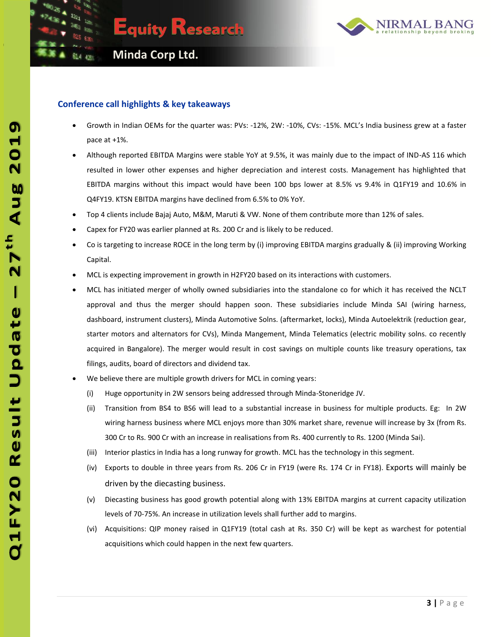



#### **Conference call highlights & key takeaways**

- Growth in Indian OEMs for the quarter was: PVs: -12%, 2W: -10%, CVs: -15%. MCL's India business grew at a faster pace at +1%.
- Although reported EBITDA Margins were stable YoY at 9.5%, it was mainly due to the impact of IND-AS 116 which resulted in lower other expenses and higher depreciation and interest costs. Management has highlighted that EBITDA margins without this impact would have been 100 bps lower at 8.5% vs 9.4% in Q1FY19 and 10.6% in Q4FY19. KTSN EBITDA margins have declined from 6.5% to 0% YoY.
- Top 4 clients include Bajaj Auto, M&M, Maruti & VW. None of them contribute more than 12% of sales.
- Capex for FY20 was earlier planned at Rs. 200 Cr and is likely to be reduced.
- Co is targeting to increase ROCE in the long term by (i) improving EBITDA margins gradually & (ii) improving Working Capital.
- MCL is expecting improvement in growth in H2FY20 based on its interactions with customers.
- MCL has initiated merger of wholly owned subsidiaries into the standalone co for which it has received the NCLT approval and thus the merger should happen soon. These subsidiaries include Minda SAI (wiring harness, dashboard, instrument clusters), Minda Automotive Solns. (aftermarket, locks), Minda Autoelektrik (reduction gear, starter motors and alternators for CVs), Minda Mangement, Minda Telematics (electric mobility solns. co recently acquired in Bangalore). The merger would result in cost savings on multiple counts like treasury operations, tax filings, audits, board of directors and dividend tax.
- We believe there are multiple growth drivers for MCL in coming years:
	- (i) Huge opportunity in 2W sensors being addressed through Minda-Stoneridge JV.
	- (ii) Transition from BS4 to BS6 will lead to a substantial increase in business for multiple products. Eg: In 2W wiring harness business where MCL enjoys more than 30% market share, revenue will increase by 3x (from Rs. 300 Cr to Rs. 900 Cr with an increase in realisations from Rs. 400 currently to Rs. 1200 (Minda Sai).
	- (iii) Interior plastics in India has a long runway for growth. MCL has the technology in this segment.
	- (iv) Exports to double in three years from Rs. 206 Cr in FY19 (were Rs. 174 Cr in FY18). Exports will mainly be driven by the diecasting business.
	- (v) Diecasting business has good growth potential along with 13% EBITDA margins at current capacity utilization levels of 70-75%. An increase in utilization levels shall further add to margins.
	- (vi) Acquisitions: QIP money raised in Q1FY19 (total cash at Rs. 350 Cr) will be kept as warchest for potential acquisitions which could happen in the next few quarters.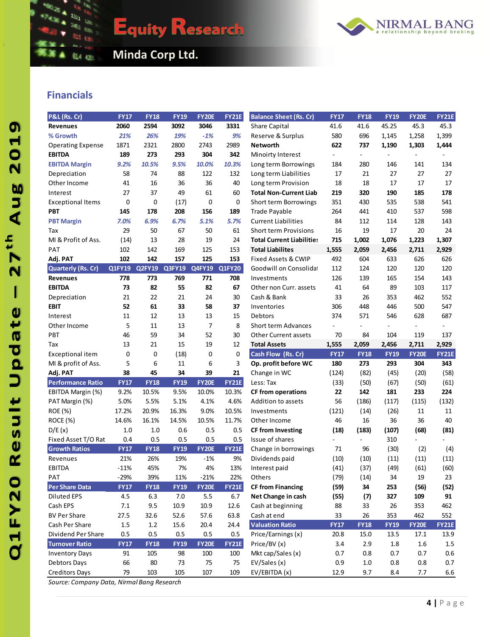

**Equity Research** 



**ALLASS Minda Corp Ltd.** 

## **Financials**

27th Aug 2019

 $\overline{\mathsf{I}}$ 

Q1FY20 Result Update

| P&L (Rs. Cr)              | <b>FY17</b> | <b>FY18</b> | <b>FY19</b> | <b>FY20E</b>  | <b>FY21E</b>  | <b>Balance Sheet (Rs. Cr)</b>    | <b>FY17</b>              | <b>FY18</b>              | <b>FY19</b>              | <b>FY20E</b>   | <b>FY21E</b> |
|---------------------------|-------------|-------------|-------------|---------------|---------------|----------------------------------|--------------------------|--------------------------|--------------------------|----------------|--------------|
| <b>Revenues</b>           | 2060        | 2594        | 3092        | 3046          | 3331          | Share Capital                    | 41.6                     | 41.6                     | 45.25                    | 45.3           | 45.3         |
| % Growth                  | 21%         | 26%         | 19%         | $-1%$         | 9%            | Reserve & Surplus                | 580                      | 696                      | 1,145                    | 1,258          | 1,399        |
| <b>Operating Expense</b>  | 1871        | 2321        | 2800        | 2743          | 2989          | <b>Networth</b>                  | 622                      | 737                      | 1,190                    | 1,303          | 1,444        |
| <b>EBITDA</b>             | 189         | 273         | 293         | 304           | 342           | Minoirty Interest                | $\overline{\phantom{a}}$ | $\overline{\phantom{a}}$ | $\overline{\phantom{a}}$ | $\overline{a}$ |              |
| <b>EBITDA Margin</b>      | 9.2%        | 10.5%       | 9.5%        | 10.0%         | 10.3%         | Long term Borrowings             | 184                      | 280                      | 146                      | 141            | 134          |
| Depreciation              | 58          | 74          | 88          | 122           | 132           | Long term Liabilities            | 17                       | 21                       | 27                       | 27             | 27           |
| Other Income              | 41          | 16          | 36          | 36            | 40            | Long term Provision              | 18                       | 18                       | 17                       | 17             | 17           |
| Interest                  | 27          | 37          | 49          | 61            | 60            | <b>Total Non-Current Liab</b>    | 219                      | 320                      | 190                      | 185            | 178          |
| <b>Exceptional Items</b>  | 0           | $\mathbf 0$ | (17)        | $\mathbf 0$   | 0             | Short term Borrowings            | 351                      | 430                      | 535                      | 538            | 541          |
| PBT                       | 145         | 178         | 208         | 156           | 189           | Trade Payable                    | 264                      | 441                      | 410                      | 537            | 598          |
| <b>PBT Margin</b>         | 7.0%        | 6.9%        | 6.7%        | 5.1%          | 5.7%          | <b>Current Liabilities</b>       | 84                       | 112                      | 114                      | 128            | 143          |
| Tax                       | 29          | 50          | 67          | 50            | 61            | <b>Short term Provisions</b>     | 16                       | 19                       | 17                       | 20             | 24           |
| MI & Profit of Ass.       | (14)        | 13          | 28          | 19            | 24            | <b>Total Current Liabilities</b> | 715                      | 1,002                    | 1,076                    | 1,223          | 1,307        |
| <b>PAT</b>                | 102         | 142         | 169         | 125           | 153           | <b>Total Liabilites</b>          | 1,555                    | 2,059                    | 2,456                    | 2,711          | 2,929        |
| Adj. PAT                  | 102         | 142         | 157         | 125           | 153           | Fixed Assets & CWIP              | 492                      | 604                      | 633                      | 626            | 626          |
| <b>Quarterly (Rs. Cr)</b> | Q1FY19      | Q2FY19      | Q3FY19      | <b>Q4FY19</b> | <b>Q1FY20</b> | Goodwill on Consolidat           | 112                      | 124                      | 120                      | 120            | 120          |
| <b>Revenues</b>           | 778         | 773         | 769         | 771           | 708           | Investments                      | 126                      | 139                      | 165                      | 154            | 143          |
| <b>EBITDA</b>             | 73          | 82          | 55          | 82            | 67            | Other non Curr. assets           | 41                       | 64                       | 89                       | 103            | 117          |
| Depreciation              | 21          | 22          | 21          | 24            | 30            | Cash & Bank                      | 33                       | 26                       | 353                      | 462            | 552          |
| <b>EBIT</b>               | 52          | 61          | 33          | 58            | 37            | Inventories                      | 306                      | 448                      | 446                      | 500            | 547          |
| Interest                  | 11          | 12          | 13          | 13            | 15            | Debtors                          | 374                      | 571                      | 546                      | 628            | 687          |
| Other Income              | 5           | 11          | 13          | 7             | 8             | Short term Advances              |                          |                          |                          |                | $\sim$       |
| PBT                       | 46          | 59          | 34          | 52            | 30            | <b>Other Current assets</b>      | 70                       | 84                       | 104                      | 119            | 137          |
| Tax                       | 13          | 21          | 15          | 19            | 12            | <b>Total Assets</b>              | 1,555                    | 2,059                    | 2,456                    | 2,711          | 2,929        |
| Exceptional item          | 0           | 0           | (18)        | $\mathbf 0$   | 0             | Cash Flow (Rs. Cr)               | <b>FY17</b>              | <b>FY18</b>              | <b>FY19</b>              | <b>FY20E</b>   | <b>FY21E</b> |
| MI & profit of Ass.       | 5           | 6           | 11          | 6             | 3             | Op. profit before WC             | 180                      | 273                      | 293                      | 304            | 343          |
| Adj. PAT                  | 38          | 45          | 34          | 39            | 21            | Change in WC                     | (124)                    | (82)                     | (45)                     | (20)           | (58)         |
| <b>Performance Ratio</b>  | <b>FY17</b> | <b>FY18</b> | <b>FY19</b> | <b>FY20E</b>  | <b>FY21E</b>  | Less: Tax                        | (33)                     | (50)                     | (67)                     | (50)           | (61)         |
| EBITDA Margin (%)         | 9.2%        | 10.5%       | 9.5%        | 10.0%         | 10.3%         | <b>CF from operations</b>        | 22                       | 142                      | 181                      | 233            | 224          |
| PAT Margin (%)            | 5.0%        | 5.5%        | 5.1%        | 4.1%          | 4.6%          | Addition to assets               | 56                       | (186)                    | (117)                    | (115)          | (132)        |
| <b>ROE (%)</b>            | 17.2%       | 20.9%       | 16.3%       | 9.0%          | 10.5%         | Investments                      | (121)                    | (14)                     | (26)                     | 11             | 11           |
| ROCE (%)                  | 14.6%       | 16.1%       | 14.5%       | 10.5%         | 11.7%         | Other Income                     | 46                       | 16                       | 36                       | 36             | 40           |
| D/E(x)                    | 1.0         | 1.0         | 0.6         | 0.5           | 0.5           | <b>CF from Investing</b>         | (18)                     | (183)                    | (107)                    | (68)           | (81)         |
| Fixed Asset T/O Rat       | 0.4         | 0.5         | 0.5         | 0.5           | 0.5           | Issue of shares                  | $\overline{\phantom{0}}$ |                          | 310                      |                |              |
| <b>Growth Ratios</b>      | <b>FY17</b> | <b>FY18</b> | <b>FY19</b> | <b>FY20E</b>  | <b>FY21E</b>  | Change in borrowings             | 71                       | 96                       | (30)                     | (2)            | (4)          |
| Revenues                  | 21%         | 26%         | 19%         | $-1%$         | 9%            | Dividends paid                   | (10)                     | (10)                     | (11)                     | (11)           | (11)         |
| <b>EBITDA</b>             | $-11%$      | 45%         | 7%          | 4%            | 13%           | Interest paid                    | (41)                     | (37)                     | (49)                     | (61)           | (60)         |
| PAT                       | -29%        | 39%         | 11%         | $-21%$        | 22%           | Others                           | (79)                     | (14)                     | 34                       | 19             | 23           |
| <b>Per Share Data</b>     | <b>FY17</b> | <b>FY18</b> | <b>FY19</b> | <b>FY20E</b>  | <b>FY21E</b>  | <b>CF from Financing</b>         | (59)                     | 34                       | 253                      | (56)           | (52)         |
| Diluted EPS               | 4.5         | 6.3         | 7.0         | 5.5           | 6.7           | Net Change in cash               | (55)                     | (7)                      | 327                      | 109            | 91           |
| Cash EPS                  | 7.1         | 9.5         | 10.9        | 10.9          | 12.6          | Cash at beginning                | 88                       | 33                       | 26                       | 353            | 462          |
| <b>BV Per Share</b>       | 27.5        | 32.6        | 52.6        | 57.6          | 63.8          | Cash at end                      | 33                       | 26                       | 353                      | 462            | 552          |
| Cash Per Share            | $1.5\,$     | 1.2         | 15.6        | 20.4          | 24.4          | <b>Valuation Ratio</b>           | <b>FY17</b>              | <b>FY18</b>              | <b>FY19</b>              | <b>FY20E</b>   | <b>FY21E</b> |
| Dividend Per Share        | 0.5         | 0.5         | 0.5         | 0.5           | 0.5           | Price/Earnings (x)               | 20.8                     | 15.0                     | 13.5                     | 17.1           | 13.9         |
| <b>Turnover Ratio</b>     | <b>FY17</b> | <b>FY18</b> | <b>FY19</b> | <b>FY20E</b>  | <b>FY21E</b>  | Price/BV (x)                     | 3.4                      | 2.9                      | 1.8                      | 1.6            | $1.5$        |
| <b>Inventory Days</b>     | 91          | 105         | 98          | 100           | 100           | Mkt cap/Sales (x)                | 0.7                      | 0.8                      | 0.7                      | 0.7            | 0.6          |
| Debtors Days              | 66          | $80\,$      | 73          | 75            | 75            | EV/Sales (x)                     | 0.9                      | $1.0\,$                  | 0.8                      | 0.8            | 0.7          |
| <b>Creditors Days</b>     | 79          | 103         | 105         | 107           | 109           | EV/EBITDA (x)                    | 12.9                     | 9.7                      | 8.4                      | 7.7            | 6.6          |

*Source: Company Data, Nirmal Bang Research*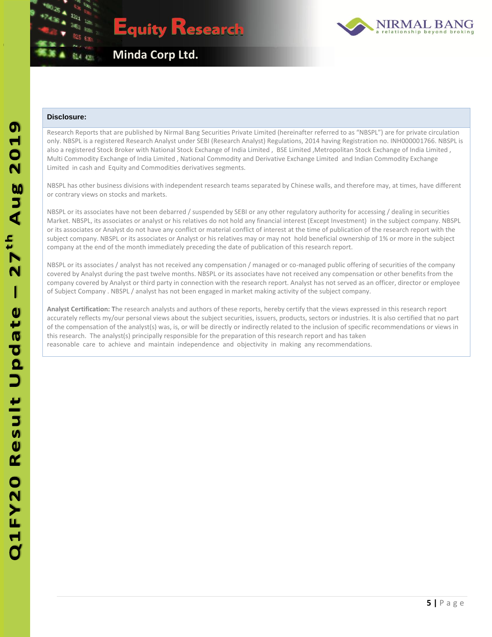



#### **Disclosure:**

Research Reports that are published by Nirmal Bang Securities Private Limited (hereinafter referred to as "NBSPL") are for private circulation only. NBSPL is a registered Research Analyst under SEBI (Research Analyst) Regulations, 2014 having Registration no. INH000001766. NBSPL is also a registered Stock Broker with National Stock Exchange of India Limited , BSE Limited , Metropolitan Stock Exchange of India Limited , Multi Commodity Exchange of India Limited , National Commodity and Derivative Exchange Limited and Indian Commodity Exchange Limited in cash and Equity and Commodities derivatives segments.

NBSPL has other business divisions with independent research teams separated by Chinese walls, and therefore may, at times, have different or contrary views on stocks and markets.

NBSPL or its associates have not been debarred / suspended by SEBI or any other regulatory authority for accessing / dealing in securities Market. NBSPL, its associates or analyst or his relatives do not hold any financial interest (Except Investment) in the subject company. NBSPL or its associates or Analyst do not have any conflict or material conflict of interest at the time of publication of the research report with the subject company. NBSPL or its associates or Analyst or his relatives may or may not hold beneficial ownership of 1% or more in the subject company at the end of the month immediately preceding the date of publication of this research report.

NBSPL or its associates / analyst has not received any compensation / managed or co-managed public offering of securities of the company covered by Analyst during the past twelve months. NBSPL or its associates have not received any compensation or other benefits from the company covered by Analyst or third party in connection with the research report. Analyst has not served as an officer, director or employee of Subject Company . NBSPL / analyst has not been engaged in market making activity of the subject company.

**Analyst Certification: T**he research analysts and authors of these reports, hereby certify that the views expressed in this research report accurately reflects my/our personal views about the subject securities, issuers, products, sectors or industries. It is also certified that no part of the compensation of the analyst(s) was, is, or will be directly or indirectly related to the inclusion of specific recommendations or views in this research. The analyst(s) principally responsible for the preparation of this research report and has taken reasonable care to achieve and maintain independence and objectivity in making any recommendations.